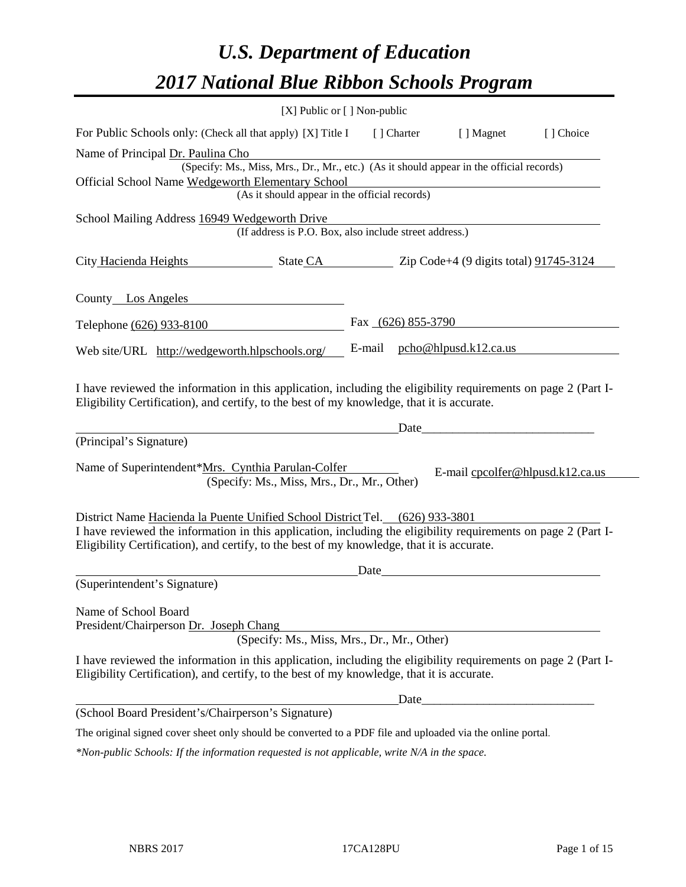# *U.S. Department of Education 2017 National Blue Ribbon Schools Program*

|                                                                                                                                                                                                                                                                                              | [X] Public or [] Non-public |                      |                                  |           |
|----------------------------------------------------------------------------------------------------------------------------------------------------------------------------------------------------------------------------------------------------------------------------------------------|-----------------------------|----------------------|----------------------------------|-----------|
| For Public Schools only: (Check all that apply) [X] Title I                                                                                                                                                                                                                                  |                             | [] Charter           | [ ] Magnet                       | [] Choice |
| Name of Principal Dr. Paulina Cho                                                                                                                                                                                                                                                            |                             |                      |                                  |           |
| (Specify: Ms., Miss, Mrs., Dr., Mr., etc.) (As it should appear in the official records)                                                                                                                                                                                                     |                             |                      |                                  |           |
| Official School Name Wedgeworth Elementary School<br>(As it should appear in the official records)                                                                                                                                                                                           |                             |                      |                                  |           |
|                                                                                                                                                                                                                                                                                              |                             |                      |                                  |           |
| School Mailing Address 16949 Wedgeworth Drive<br>(If address is P.O. Box, also include street address.)                                                                                                                                                                                      |                             |                      |                                  |           |
| City Hacienda Heights State CA Zip Code+4 (9 digits total) 91745-3124                                                                                                                                                                                                                        |                             |                      |                                  |           |
| County Los Angeles                                                                                                                                                                                                                                                                           |                             |                      |                                  |           |
| Telephone (626) 933-8100                                                                                                                                                                                                                                                                     |                             | Fax $(626)$ 855-3790 |                                  |           |
| Web site/URL http://wedgeworth.hlpschools.org/                                                                                                                                                                                                                                               | E-mail                      |                      | pcho@hlpusd.k12.ca.us            |           |
| I have reviewed the information in this application, including the eligibility requirements on page 2 (Part I-<br>Eligibility Certification), and certify, to the best of my knowledge, that it is accurate.                                                                                 |                             | Date                 |                                  |           |
| (Principal's Signature)                                                                                                                                                                                                                                                                      |                             |                      |                                  |           |
| Name of Superintendent*Mrs. Cynthia Parulan-Colfer<br>(Specify: Ms., Miss, Mrs., Dr., Mr., Other)                                                                                                                                                                                            |                             |                      | E-mail cpcolfer@hlpusd.k12.ca.us |           |
| District Name Hacienda la Puente Unified School District Tel. (626) 933-3801<br>I have reviewed the information in this application, including the eligibility requirements on page 2 (Part I-<br>Eligibility Certification), and certify, to the best of my knowledge, that it is accurate. | Date                        |                      |                                  |           |
| (Superintendent's Signature)                                                                                                                                                                                                                                                                 |                             |                      |                                  |           |
| Name of School Board<br>President/Chairperson Dr. Joseph Chang<br>(Specify: Ms., Miss, Mrs., Dr., Mr., Other)                                                                                                                                                                                |                             |                      |                                  |           |
| I have reviewed the information in this application, including the eligibility requirements on page 2 (Part I-<br>Eligibility Certification), and certify, to the best of my knowledge, that it is accurate.                                                                                 |                             |                      |                                  |           |
|                                                                                                                                                                                                                                                                                              |                             | Date                 |                                  |           |
| (School Board President's/Chairperson's Signature)                                                                                                                                                                                                                                           |                             |                      |                                  |           |
| The original signed cover sheet only should be converted to a PDF file and uploaded via the online portal.                                                                                                                                                                                   |                             |                      |                                  |           |
| $*$ Non-public Schools: If the information requested is not applicable, write $N/A$ in the space.                                                                                                                                                                                            |                             |                      |                                  |           |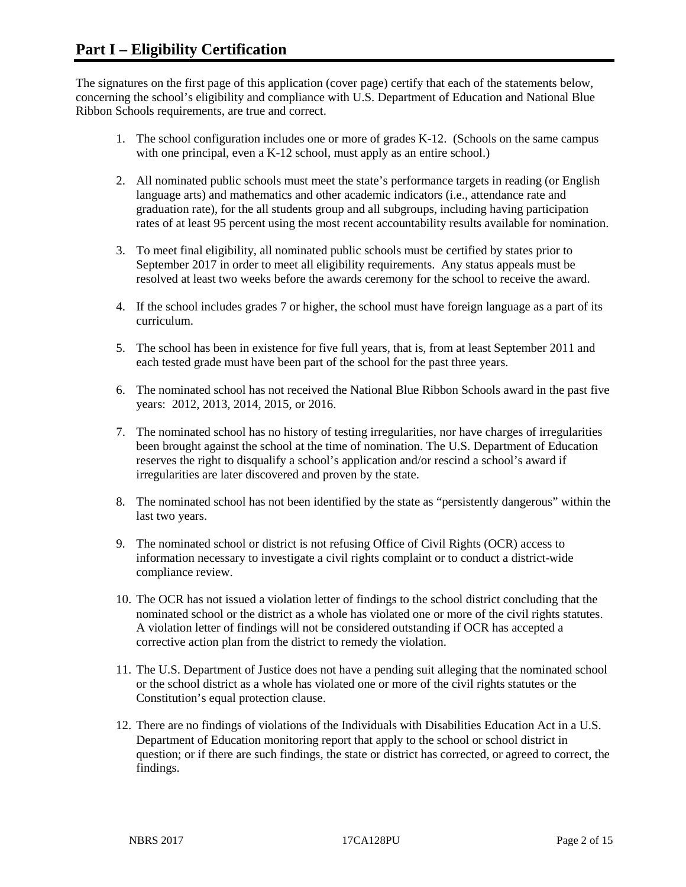The signatures on the first page of this application (cover page) certify that each of the statements below, concerning the school's eligibility and compliance with U.S. Department of Education and National Blue Ribbon Schools requirements, are true and correct.

- 1. The school configuration includes one or more of grades K-12. (Schools on the same campus with one principal, even a K-12 school, must apply as an entire school.)
- 2. All nominated public schools must meet the state's performance targets in reading (or English language arts) and mathematics and other academic indicators (i.e., attendance rate and graduation rate), for the all students group and all subgroups, including having participation rates of at least 95 percent using the most recent accountability results available for nomination.
- 3. To meet final eligibility, all nominated public schools must be certified by states prior to September 2017 in order to meet all eligibility requirements. Any status appeals must be resolved at least two weeks before the awards ceremony for the school to receive the award.
- 4. If the school includes grades 7 or higher, the school must have foreign language as a part of its curriculum.
- 5. The school has been in existence for five full years, that is, from at least September 2011 and each tested grade must have been part of the school for the past three years.
- 6. The nominated school has not received the National Blue Ribbon Schools award in the past five years: 2012, 2013, 2014, 2015, or 2016.
- 7. The nominated school has no history of testing irregularities, nor have charges of irregularities been brought against the school at the time of nomination. The U.S. Department of Education reserves the right to disqualify a school's application and/or rescind a school's award if irregularities are later discovered and proven by the state.
- 8. The nominated school has not been identified by the state as "persistently dangerous" within the last two years.
- 9. The nominated school or district is not refusing Office of Civil Rights (OCR) access to information necessary to investigate a civil rights complaint or to conduct a district-wide compliance review.
- 10. The OCR has not issued a violation letter of findings to the school district concluding that the nominated school or the district as a whole has violated one or more of the civil rights statutes. A violation letter of findings will not be considered outstanding if OCR has accepted a corrective action plan from the district to remedy the violation.
- 11. The U.S. Department of Justice does not have a pending suit alleging that the nominated school or the school district as a whole has violated one or more of the civil rights statutes or the Constitution's equal protection clause.
- 12. There are no findings of violations of the Individuals with Disabilities Education Act in a U.S. Department of Education monitoring report that apply to the school or school district in question; or if there are such findings, the state or district has corrected, or agreed to correct, the findings.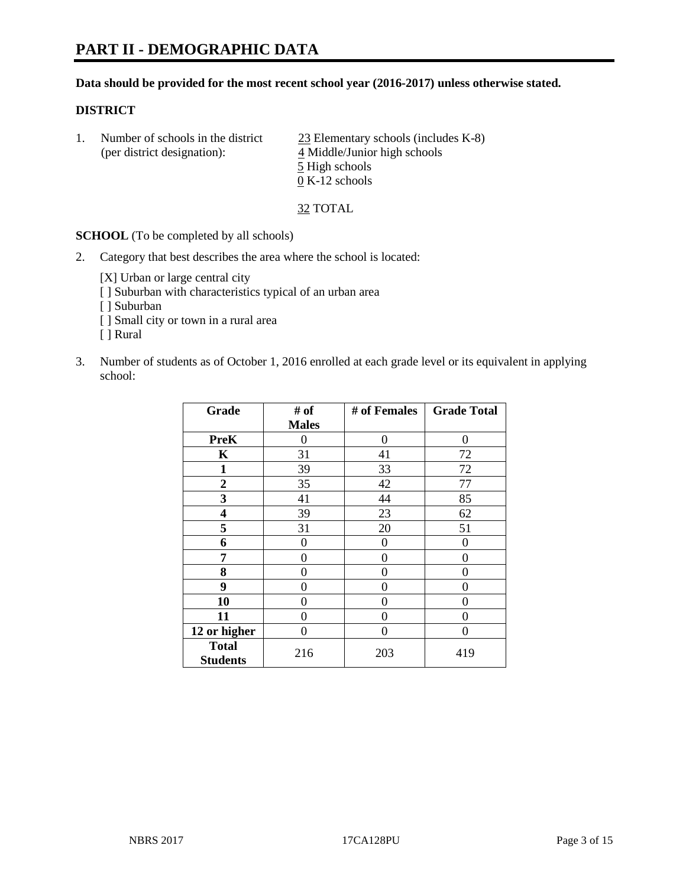## **Data should be provided for the most recent school year (2016-2017) unless otherwise stated.**

# **DISTRICT**

1. Number of schools in the district  $\frac{23}{25}$  Elementary schools (includes K-8) (per district designation): 4 Middle/Junior high schools 5 High schools 0 K-12 schools

32 TOTAL

**SCHOOL** (To be completed by all schools)

2. Category that best describes the area where the school is located:

[X] Urban or large central city [ ] Suburban with characteristics typical of an urban area [ ] Suburban

- [ ] Small city or town in a rural area
- [ ] Rural
- 3. Number of students as of October 1, 2016 enrolled at each grade level or its equivalent in applying school:

| Grade                           | # of         | # of Females | <b>Grade Total</b> |
|---------------------------------|--------------|--------------|--------------------|
|                                 | <b>Males</b> |              |                    |
| <b>PreK</b>                     | 0            | 0            | 0                  |
| K                               | 31           | 41           | 72                 |
| $\mathbf{1}$                    | 39           | 33           | 72                 |
| $\overline{2}$                  | 35           | 42           | 77                 |
| 3                               | 41           | 44           | 85                 |
| 4                               | 39           | 23           | 62                 |
| 5                               | 31           | 20           | 51                 |
| 6                               | 0            | $\theta$     | 0                  |
| 7                               | 0            | 0            | 0                  |
| 8                               | $\theta$     | $\theta$     | 0                  |
| 9                               | 0            | 0            | 0                  |
| 10                              | 0            | 0            | 0                  |
| 11                              | 0            | 0            | 0                  |
| 12 or higher                    | 0            | 0            | 0                  |
| <b>Total</b><br><b>Students</b> | 216          | 203          | 419                |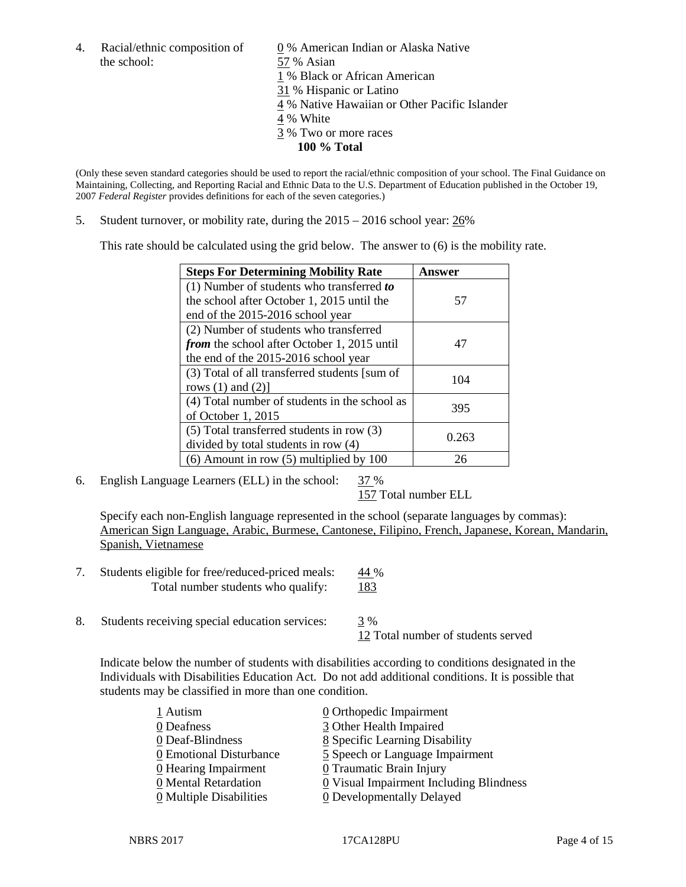the school: 57 % Asian

4. Racial/ethnic composition of  $\qquad 0 \%$  American Indian or Alaska Native 1 % Black or African American 31 % Hispanic or Latino 4 % Native Hawaiian or Other Pacific Islander 4 % White 3 % Two or more races **100 % Total**

(Only these seven standard categories should be used to report the racial/ethnic composition of your school. The Final Guidance on Maintaining, Collecting, and Reporting Racial and Ethnic Data to the U.S. Department of Education published in the October 19, 2007 *Federal Register* provides definitions for each of the seven categories.)

5. Student turnover, or mobility rate, during the 2015 – 2016 school year: 26%

This rate should be calculated using the grid below. The answer to (6) is the mobility rate.

| <b>Steps For Determining Mobility Rate</b>         | Answer |  |
|----------------------------------------------------|--------|--|
| (1) Number of students who transferred to          |        |  |
| the school after October 1, 2015 until the         | 57     |  |
| end of the 2015-2016 school year                   |        |  |
| (2) Number of students who transferred             |        |  |
| <i>from</i> the school after October 1, 2015 until | 47     |  |
| the end of the 2015-2016 school year               |        |  |
| (3) Total of all transferred students [sum of      | 104    |  |
| rows $(1)$ and $(2)$ ]                             |        |  |
| (4) Total number of students in the school as      | 395    |  |
| of October 1, 2015                                 |        |  |
| (5) Total transferred students in row (3)          |        |  |
| divided by total students in row (4)               | 0.263  |  |
| $(6)$ Amount in row $(5)$ multiplied by 100        | 26     |  |

6. English Language Learners (ELL) in the school:  $37\%$ 

157 Total number ELL

Specify each non-English language represented in the school (separate languages by commas): American Sign Language, Arabic, Burmese, Cantonese, Filipino, French, Japanese, Korean, Mandarin, Spanish, Vietnamese

- 7. Students eligible for free/reduced-priced meals: 44 % Total number students who qualify: 183
- 8. Students receiving special education services:  $\frac{3}{9}$ % 12 Total number of students served

Indicate below the number of students with disabilities according to conditions designated in the Individuals with Disabilities Education Act. Do not add additional conditions. It is possible that students may be classified in more than one condition.

| 1 Autism                              | 0 Orthopedic Impairment                   |
|---------------------------------------|-------------------------------------------|
| 0 Deafness                            | 3 Other Health Impaired                   |
| 0 Deaf-Blindness                      | 8 Specific Learning Disability            |
| 0 Emotional Disturbance               | 5 Speech or Language Impairment           |
| $\underline{0}$ Hearing Impairment    | 0 Traumatic Brain Injury                  |
| 0 Mental Retardation                  | $Q$ Visual Impairment Including Blindness |
| $\underline{0}$ Multiple Disabilities | <b>0</b> Developmentally Delayed          |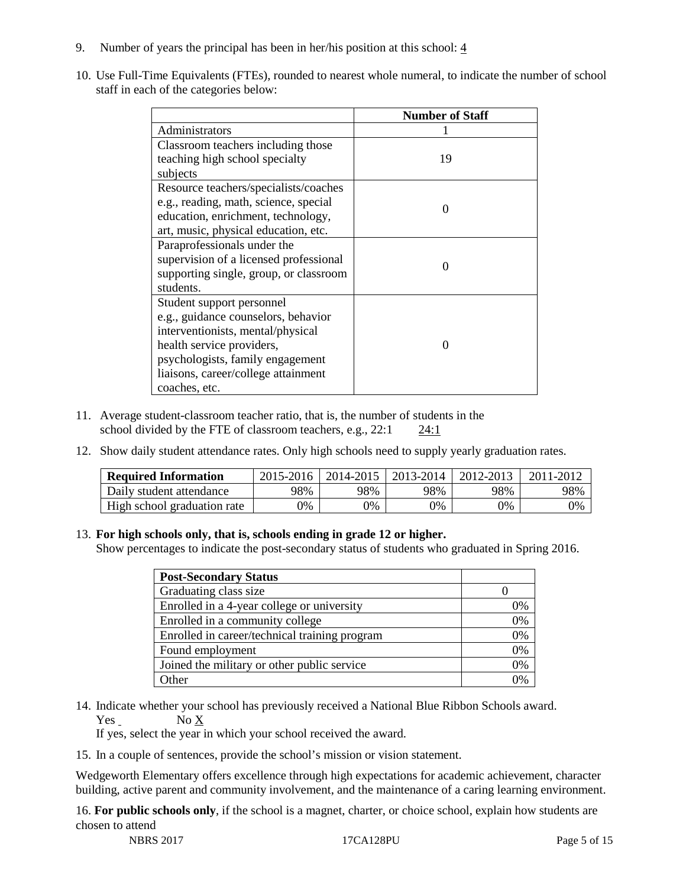- 9. Number of years the principal has been in her/his position at this school:  $\frac{4}{3}$
- 10. Use Full-Time Equivalents (FTEs), rounded to nearest whole numeral, to indicate the number of school staff in each of the categories below:

|                                        | <b>Number of Staff</b> |
|----------------------------------------|------------------------|
| Administrators                         |                        |
| Classroom teachers including those     |                        |
| teaching high school specialty         | 19                     |
| subjects                               |                        |
| Resource teachers/specialists/coaches  |                        |
| e.g., reading, math, science, special  | $\Omega$               |
| education, enrichment, technology,     |                        |
| art, music, physical education, etc.   |                        |
| Paraprofessionals under the            |                        |
| supervision of a licensed professional | $\Omega$               |
| supporting single, group, or classroom |                        |
| students.                              |                        |
| Student support personnel              |                        |
| e.g., guidance counselors, behavior    |                        |
| interventionists, mental/physical      |                        |
| health service providers,              |                        |
| psychologists, family engagement       |                        |
| liaisons, career/college attainment    |                        |
| coaches, etc.                          |                        |

- 11. Average student-classroom teacher ratio, that is, the number of students in the school divided by the FTE of classroom teachers, e.g., 22:1 24:1
- 12. Show daily student attendance rates. Only high schools need to supply yearly graduation rates.

| <b>Required Information</b> | 2015-2016 | 2014-2015 | 2013-2014 | 2012-2013 |     |
|-----------------------------|-----------|-----------|-----------|-----------|-----|
| Daily student attendance    | 98%       | 98%       | 98%       | 98%       | 98% |
| High school graduation rate | 0%        | 0%        | 0%        | 9%        | 0%  |

### 13. **For high schools only, that is, schools ending in grade 12 or higher.**

Show percentages to indicate the post-secondary status of students who graduated in Spring 2016.

| <b>Post-Secondary Status</b>                  |    |
|-----------------------------------------------|----|
| Graduating class size                         |    |
| Enrolled in a 4-year college or university    | 0% |
| Enrolled in a community college               | 0% |
| Enrolled in career/technical training program | 0% |
| Found employment                              | 0% |
| Joined the military or other public service   | 0% |
| <b>Other</b>                                  |    |

14. Indicate whether your school has previously received a National Blue Ribbon Schools award. Yes No X

If yes, select the year in which your school received the award.

15. In a couple of sentences, provide the school's mission or vision statement.

Wedgeworth Elementary offers excellence through high expectations for academic achievement, character building, active parent and community involvement, and the maintenance of a caring learning environment.

16. **For public schools only**, if the school is a magnet, charter, or choice school, explain how students are chosen to attend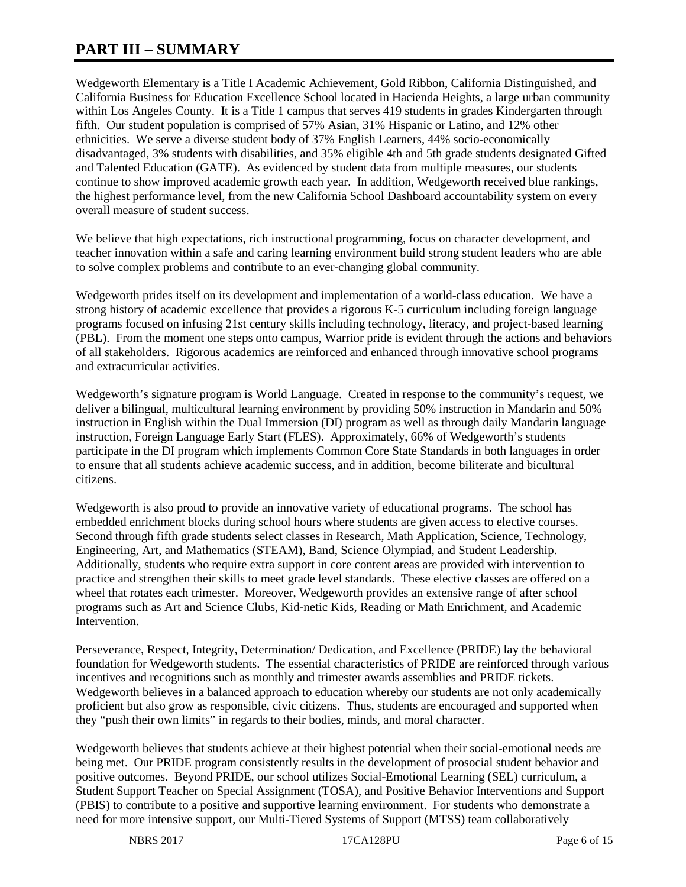# **PART III – SUMMARY**

Wedgeworth Elementary is a Title I Academic Achievement, Gold Ribbon, California Distinguished, and California Business for Education Excellence School located in Hacienda Heights, a large urban community within Los Angeles County. It is a Title 1 campus that serves 419 students in grades Kindergarten through fifth. Our student population is comprised of 57% Asian, 31% Hispanic or Latino, and 12% other ethnicities. We serve a diverse student body of 37% English Learners, 44% socio-economically disadvantaged, 3% students with disabilities, and 35% eligible 4th and 5th grade students designated Gifted and Talented Education (GATE). As evidenced by student data from multiple measures, our students continue to show improved academic growth each year. In addition, Wedgeworth received blue rankings, the highest performance level, from the new California School Dashboard accountability system on every overall measure of student success.

We believe that high expectations, rich instructional programming, focus on character development, and teacher innovation within a safe and caring learning environment build strong student leaders who are able to solve complex problems and contribute to an ever-changing global community.

Wedgeworth prides itself on its development and implementation of a world-class education. We have a strong history of academic excellence that provides a rigorous K-5 curriculum including foreign language programs focused on infusing 21st century skills including technology, literacy, and project-based learning (PBL). From the moment one steps onto campus, Warrior pride is evident through the actions and behaviors of all stakeholders. Rigorous academics are reinforced and enhanced through innovative school programs and extracurricular activities.

Wedgeworth's signature program is World Language. Created in response to the community's request, we deliver a bilingual, multicultural learning environment by providing 50% instruction in Mandarin and 50% instruction in English within the Dual Immersion (DI) program as well as through daily Mandarin language instruction, Foreign Language Early Start (FLES). Approximately, 66% of Wedgeworth's students participate in the DI program which implements Common Core State Standards in both languages in order to ensure that all students achieve academic success, and in addition, become biliterate and bicultural citizens.

Wedgeworth is also proud to provide an innovative variety of educational programs. The school has embedded enrichment blocks during school hours where students are given access to elective courses. Second through fifth grade students select classes in Research, Math Application, Science, Technology, Engineering, Art, and Mathematics (STEAM), Band, Science Olympiad, and Student Leadership. Additionally, students who require extra support in core content areas are provided with intervention to practice and strengthen their skills to meet grade level standards. These elective classes are offered on a wheel that rotates each trimester. Moreover, Wedgeworth provides an extensive range of after school programs such as Art and Science Clubs, Kid-netic Kids, Reading or Math Enrichment, and Academic Intervention.

Perseverance, Respect, Integrity, Determination/ Dedication, and Excellence (PRIDE) lay the behavioral foundation for Wedgeworth students. The essential characteristics of PRIDE are reinforced through various incentives and recognitions such as monthly and trimester awards assemblies and PRIDE tickets. Wedgeworth believes in a balanced approach to education whereby our students are not only academically proficient but also grow as responsible, civic citizens. Thus, students are encouraged and supported when they "push their own limits" in regards to their bodies, minds, and moral character.

Wedgeworth believes that students achieve at their highest potential when their social-emotional needs are being met. Our PRIDE program consistently results in the development of prosocial student behavior and positive outcomes. Beyond PRIDE, our school utilizes Social-Emotional Learning (SEL) curriculum, a Student Support Teacher on Special Assignment (TOSA), and Positive Behavior Interventions and Support (PBIS) to contribute to a positive and supportive learning environment. For students who demonstrate a need for more intensive support, our Multi-Tiered Systems of Support (MTSS) team collaboratively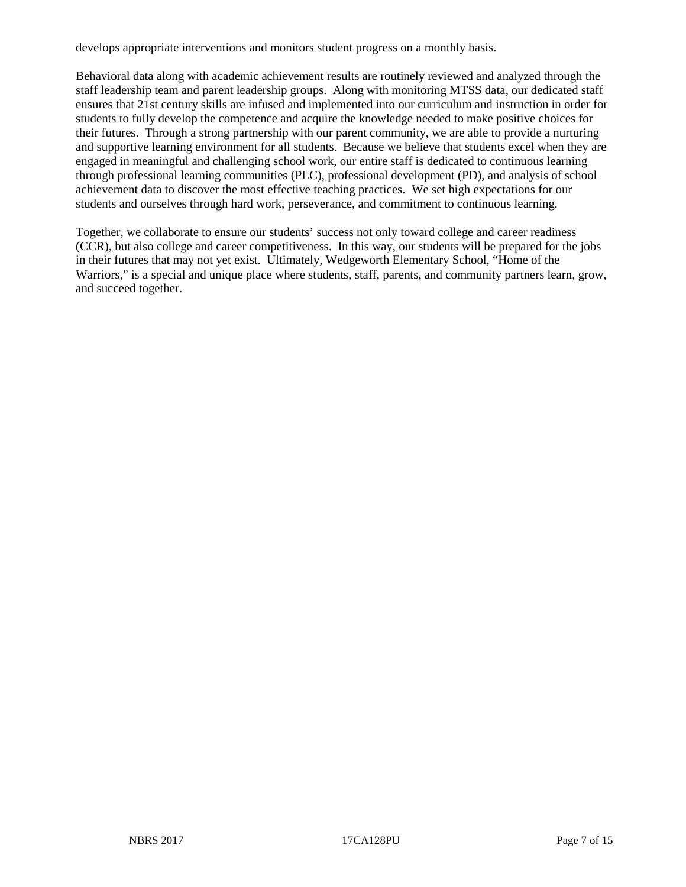develops appropriate interventions and monitors student progress on a monthly basis.

Behavioral data along with academic achievement results are routinely reviewed and analyzed through the staff leadership team and parent leadership groups. Along with monitoring MTSS data, our dedicated staff ensures that 21st century skills are infused and implemented into our curriculum and instruction in order for students to fully develop the competence and acquire the knowledge needed to make positive choices for their futures. Through a strong partnership with our parent community, we are able to provide a nurturing and supportive learning environment for all students. Because we believe that students excel when they are engaged in meaningful and challenging school work, our entire staff is dedicated to continuous learning through professional learning communities (PLC), professional development (PD), and analysis of school achievement data to discover the most effective teaching practices. We set high expectations for our students and ourselves through hard work, perseverance, and commitment to continuous learning.

Together, we collaborate to ensure our students' success not only toward college and career readiness (CCR), but also college and career competitiveness. In this way, our students will be prepared for the jobs in their futures that may not yet exist. Ultimately, Wedgeworth Elementary School, "Home of the Warriors," is a special and unique place where students, staff, parents, and community partners learn, grow, and succeed together.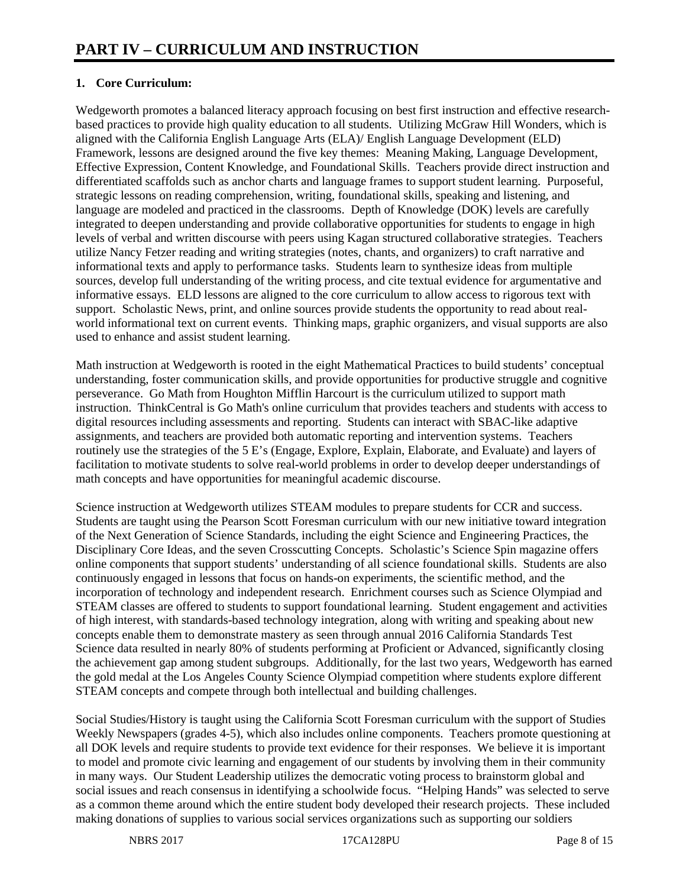# **1. Core Curriculum:**

Wedgeworth promotes a balanced literacy approach focusing on best first instruction and effective researchbased practices to provide high quality education to all students. Utilizing McGraw Hill Wonders, which is aligned with the California English Language Arts (ELA)/ English Language Development (ELD) Framework, lessons are designed around the five key themes: Meaning Making, Language Development, Effective Expression, Content Knowledge, and Foundational Skills. Teachers provide direct instruction and differentiated scaffolds such as anchor charts and language frames to support student learning. Purposeful, strategic lessons on reading comprehension, writing, foundational skills, speaking and listening, and language are modeled and practiced in the classrooms. Depth of Knowledge (DOK) levels are carefully integrated to deepen understanding and provide collaborative opportunities for students to engage in high levels of verbal and written discourse with peers using Kagan structured collaborative strategies. Teachers utilize Nancy Fetzer reading and writing strategies (notes, chants, and organizers) to craft narrative and informational texts and apply to performance tasks. Students learn to synthesize ideas from multiple sources, develop full understanding of the writing process, and cite textual evidence for argumentative and informative essays. ELD lessons are aligned to the core curriculum to allow access to rigorous text with support. Scholastic News, print, and online sources provide students the opportunity to read about realworld informational text on current events. Thinking maps, graphic organizers, and visual supports are also used to enhance and assist student learning.

Math instruction at Wedgeworth is rooted in the eight Mathematical Practices to build students' conceptual understanding, foster communication skills, and provide opportunities for productive struggle and cognitive perseverance. Go Math from Houghton Mifflin Harcourt is the curriculum utilized to support math instruction. ThinkCentral is Go Math's online curriculum that provides teachers and students with access to digital resources including assessments and reporting. Students can interact with SBAC-like adaptive assignments, and teachers are provided both automatic reporting and intervention systems. Teachers routinely use the strategies of the 5 E's (Engage, Explore, Explain, Elaborate, and Evaluate) and layers of facilitation to motivate students to solve real-world problems in order to develop deeper understandings of math concepts and have opportunities for meaningful academic discourse.

Science instruction at Wedgeworth utilizes STEAM modules to prepare students for CCR and success. Students are taught using the Pearson Scott Foresman curriculum with our new initiative toward integration of the Next Generation of Science Standards, including the eight Science and Engineering Practices, the Disciplinary Core Ideas, and the seven Crosscutting Concepts. Scholastic's Science Spin magazine offers online components that support students' understanding of all science foundational skills. Students are also continuously engaged in lessons that focus on hands-on experiments, the scientific method, and the incorporation of technology and independent research. Enrichment courses such as Science Olympiad and STEAM classes are offered to students to support foundational learning. Student engagement and activities of high interest, with standards-based technology integration, along with writing and speaking about new concepts enable them to demonstrate mastery as seen through annual 2016 California Standards Test Science data resulted in nearly 80% of students performing at Proficient or Advanced, significantly closing the achievement gap among student subgroups. Additionally, for the last two years, Wedgeworth has earned the gold medal at the Los Angeles County Science Olympiad competition where students explore different STEAM concepts and compete through both intellectual and building challenges.

Social Studies/History is taught using the California Scott Foresman curriculum with the support of Studies Weekly Newspapers (grades 4-5), which also includes online components. Teachers promote questioning at all DOK levels and require students to provide text evidence for their responses. We believe it is important to model and promote civic learning and engagement of our students by involving them in their community in many ways. Our Student Leadership utilizes the democratic voting process to brainstorm global and social issues and reach consensus in identifying a schoolwide focus. "Helping Hands" was selected to serve as a common theme around which the entire student body developed their research projects. These included making donations of supplies to various social services organizations such as supporting our soldiers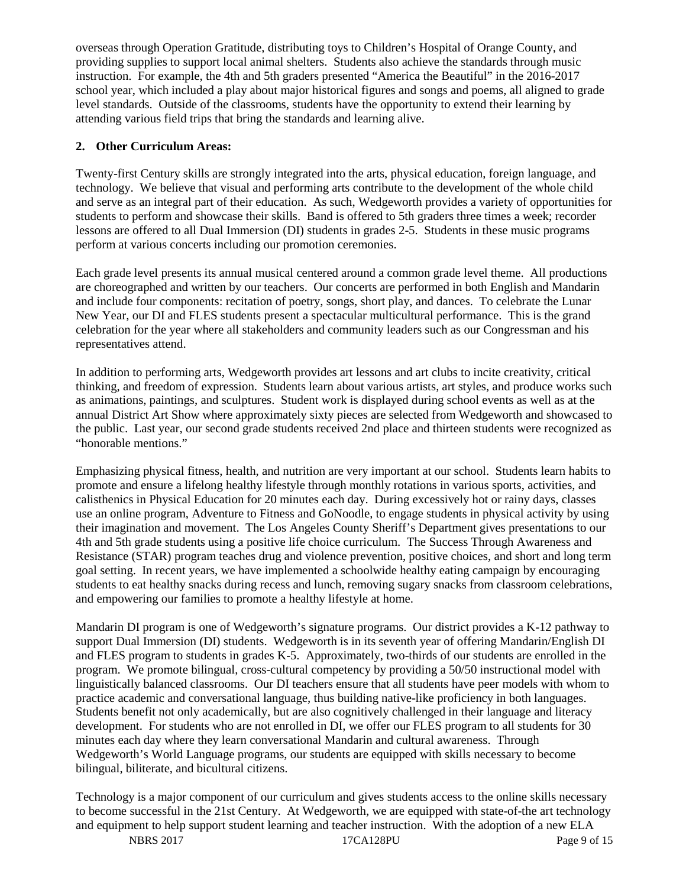overseas through Operation Gratitude, distributing toys to Children's Hospital of Orange County, and providing supplies to support local animal shelters. Students also achieve the standards through music instruction. For example, the 4th and 5th graders presented "America the Beautiful" in the 2016-2017 school year, which included a play about major historical figures and songs and poems, all aligned to grade level standards. Outside of the classrooms, students have the opportunity to extend their learning by attending various field trips that bring the standards and learning alive.

# **2. Other Curriculum Areas:**

Twenty-first Century skills are strongly integrated into the arts, physical education, foreign language, and technology. We believe that visual and performing arts contribute to the development of the whole child and serve as an integral part of their education. As such, Wedgeworth provides a variety of opportunities for students to perform and showcase their skills. Band is offered to 5th graders three times a week; recorder lessons are offered to all Dual Immersion (DI) students in grades 2-5. Students in these music programs perform at various concerts including our promotion ceremonies.

Each grade level presents its annual musical centered around a common grade level theme. All productions are choreographed and written by our teachers. Our concerts are performed in both English and Mandarin and include four components: recitation of poetry, songs, short play, and dances. To celebrate the Lunar New Year, our DI and FLES students present a spectacular multicultural performance. This is the grand celebration for the year where all stakeholders and community leaders such as our Congressman and his representatives attend.

In addition to performing arts, Wedgeworth provides art lessons and art clubs to incite creativity, critical thinking, and freedom of expression. Students learn about various artists, art styles, and produce works such as animations, paintings, and sculptures. Student work is displayed during school events as well as at the annual District Art Show where approximately sixty pieces are selected from Wedgeworth and showcased to the public. Last year, our second grade students received 2nd place and thirteen students were recognized as "honorable mentions."

Emphasizing physical fitness, health, and nutrition are very important at our school. Students learn habits to promote and ensure a lifelong healthy lifestyle through monthly rotations in various sports, activities, and calisthenics in Physical Education for 20 minutes each day. During excessively hot or rainy days, classes use an online program, Adventure to Fitness and GoNoodle, to engage students in physical activity by using their imagination and movement. The Los Angeles County Sheriff's Department gives presentations to our 4th and 5th grade students using a positive life choice curriculum. The Success Through Awareness and Resistance (STAR) program teaches drug and violence prevention, positive choices, and short and long term goal setting. In recent years, we have implemented a schoolwide healthy eating campaign by encouraging students to eat healthy snacks during recess and lunch, removing sugary snacks from classroom celebrations, and empowering our families to promote a healthy lifestyle at home.

Mandarin DI program is one of Wedgeworth's signature programs. Our district provides a K-12 pathway to support Dual Immersion (DI) students. Wedgeworth is in its seventh year of offering Mandarin/English DI and FLES program to students in grades K-5. Approximately, two-thirds of our students are enrolled in the program. We promote bilingual, cross-cultural competency by providing a 50/50 instructional model with linguistically balanced classrooms. Our DI teachers ensure that all students have peer models with whom to practice academic and conversational language, thus building native-like proficiency in both languages. Students benefit not only academically, but are also cognitively challenged in their language and literacy development. For students who are not enrolled in DI, we offer our FLES program to all students for 30 minutes each day where they learn conversational Mandarin and cultural awareness. Through Wedgeworth's World Language programs, our students are equipped with skills necessary to become bilingual, biliterate, and bicultural citizens.

Technology is a major component of our curriculum and gives students access to the online skills necessary to become successful in the 21st Century. At Wedgeworth, we are equipped with state-of-the art technology and equipment to help support student learning and teacher instruction. With the adoption of a new ELA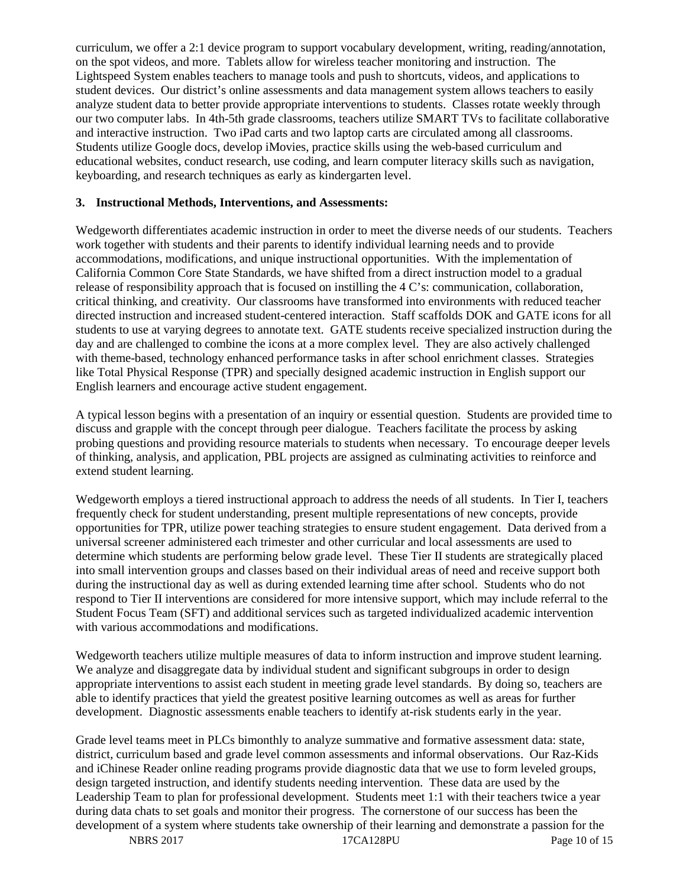curriculum, we offer a 2:1 device program to support vocabulary development, writing, reading/annotation, on the spot videos, and more. Tablets allow for wireless teacher monitoring and instruction. The Lightspeed System enables teachers to manage tools and push to shortcuts, videos, and applications to student devices. Our district's online assessments and data management system allows teachers to easily analyze student data to better provide appropriate interventions to students. Classes rotate weekly through our two computer labs. In 4th-5th grade classrooms, teachers utilize SMART TVs to facilitate collaborative and interactive instruction. Two iPad carts and two laptop carts are circulated among all classrooms. Students utilize Google docs, develop iMovies, practice skills using the web-based curriculum and educational websites, conduct research, use coding, and learn computer literacy skills such as navigation, keyboarding, and research techniques as early as kindergarten level.

## **3. Instructional Methods, Interventions, and Assessments:**

Wedgeworth differentiates academic instruction in order to meet the diverse needs of our students. Teachers work together with students and their parents to identify individual learning needs and to provide accommodations, modifications, and unique instructional opportunities. With the implementation of California Common Core State Standards, we have shifted from a direct instruction model to a gradual release of responsibility approach that is focused on instilling the 4 C's: communication, collaboration, critical thinking, and creativity. Our classrooms have transformed into environments with reduced teacher directed instruction and increased student-centered interaction. Staff scaffolds DOK and GATE icons for all students to use at varying degrees to annotate text. GATE students receive specialized instruction during the day and are challenged to combine the icons at a more complex level. They are also actively challenged with theme-based, technology enhanced performance tasks in after school enrichment classes. Strategies like Total Physical Response (TPR) and specially designed academic instruction in English support our English learners and encourage active student engagement.

A typical lesson begins with a presentation of an inquiry or essential question. Students are provided time to discuss and grapple with the concept through peer dialogue. Teachers facilitate the process by asking probing questions and providing resource materials to students when necessary. To encourage deeper levels of thinking, analysis, and application, PBL projects are assigned as culminating activities to reinforce and extend student learning.

Wedgeworth employs a tiered instructional approach to address the needs of all students. In Tier I, teachers frequently check for student understanding, present multiple representations of new concepts, provide opportunities for TPR, utilize power teaching strategies to ensure student engagement. Data derived from a universal screener administered each trimester and other curricular and local assessments are used to determine which students are performing below grade level. These Tier II students are strategically placed into small intervention groups and classes based on their individual areas of need and receive support both during the instructional day as well as during extended learning time after school. Students who do not respond to Tier II interventions are considered for more intensive support, which may include referral to the Student Focus Team (SFT) and additional services such as targeted individualized academic intervention with various accommodations and modifications.

Wedgeworth teachers utilize multiple measures of data to inform instruction and improve student learning. We analyze and disaggregate data by individual student and significant subgroups in order to design appropriate interventions to assist each student in meeting grade level standards. By doing so, teachers are able to identify practices that yield the greatest positive learning outcomes as well as areas for further development. Diagnostic assessments enable teachers to identify at-risk students early in the year.

Grade level teams meet in PLCs bimonthly to analyze summative and formative assessment data: state, district, curriculum based and grade level common assessments and informal observations. Our Raz-Kids and iChinese Reader online reading programs provide diagnostic data that we use to form leveled groups, design targeted instruction, and identify students needing intervention. These data are used by the Leadership Team to plan for professional development. Students meet 1:1 with their teachers twice a year during data chats to set goals and monitor their progress. The cornerstone of our success has been the development of a system where students take ownership of their learning and demonstrate a passion for the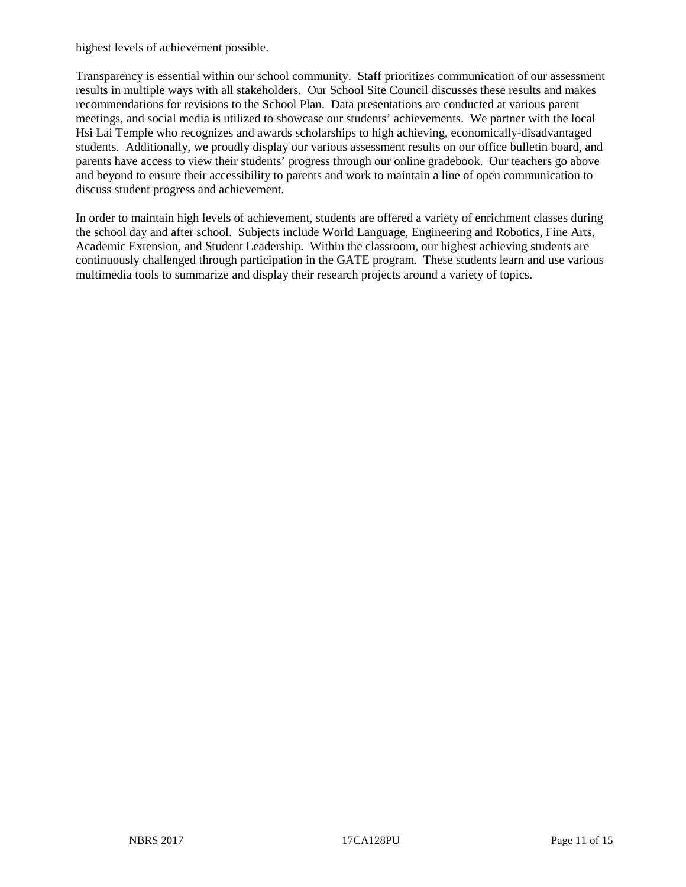highest levels of achievement possible.

Transparency is essential within our school community. Staff prioritizes communication of our assessment results in multiple ways with all stakeholders. Our School Site Council discusses these results and makes recommendations for revisions to the School Plan. Data presentations are conducted at various parent meetings, and social media is utilized to showcase our students' achievements. We partner with the local Hsi Lai Temple who recognizes and awards scholarships to high achieving, economically-disadvantaged students. Additionally, we proudly display our various assessment results on our office bulletin board, and parents have access to view their students' progress through our online gradebook. Our teachers go above and beyond to ensure their accessibility to parents and work to maintain a line of open communication to discuss student progress and achievement.

In order to maintain high levels of achievement, students are offered a variety of enrichment classes during the school day and after school. Subjects include World Language, Engineering and Robotics, Fine Arts, Academic Extension, and Student Leadership. Within the classroom, our highest achieving students are continuously challenged through participation in the GATE program. These students learn and use various multimedia tools to summarize and display their research projects around a variety of topics.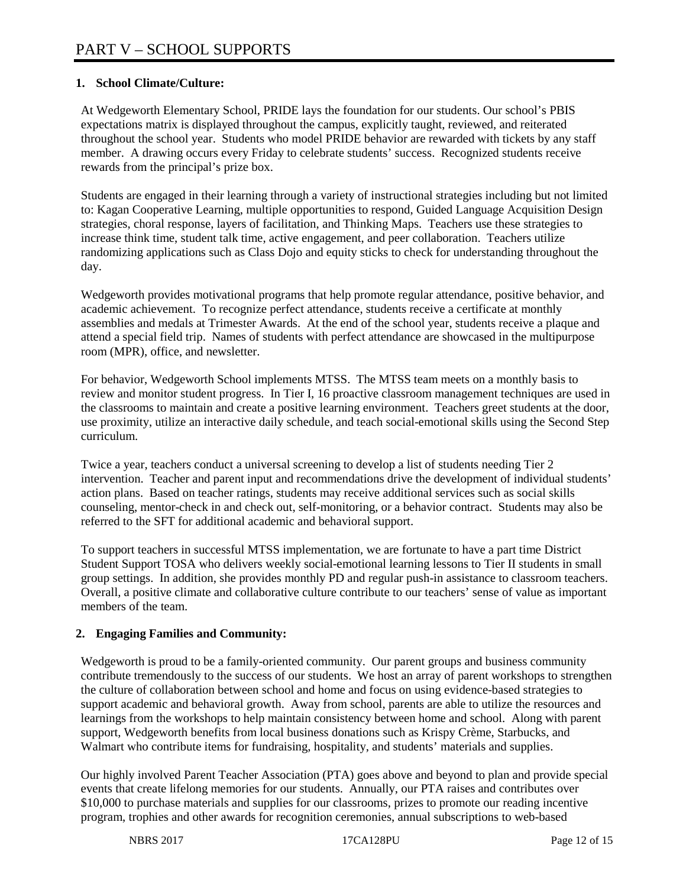# **1. School Climate/Culture:**

At Wedgeworth Elementary School, PRIDE lays the foundation for our students. Our school's PBIS expectations matrix is displayed throughout the campus, explicitly taught, reviewed, and reiterated throughout the school year. Students who model PRIDE behavior are rewarded with tickets by any staff member. A drawing occurs every Friday to celebrate students' success. Recognized students receive rewards from the principal's prize box.

Students are engaged in their learning through a variety of instructional strategies including but not limited to: Kagan Cooperative Learning, multiple opportunities to respond, Guided Language Acquisition Design strategies, choral response, layers of facilitation, and Thinking Maps. Teachers use these strategies to increase think time, student talk time, active engagement, and peer collaboration. Teachers utilize randomizing applications such as Class Dojo and equity sticks to check for understanding throughout the day.

Wedgeworth provides motivational programs that help promote regular attendance, positive behavior, and academic achievement. To recognize perfect attendance, students receive a certificate at monthly assemblies and medals at Trimester Awards. At the end of the school year, students receive a plaque and attend a special field trip. Names of students with perfect attendance are showcased in the multipurpose room (MPR), office, and newsletter.

For behavior, Wedgeworth School implements MTSS. The MTSS team meets on a monthly basis to review and monitor student progress. In Tier I, 16 proactive classroom management techniques are used in the classrooms to maintain and create a positive learning environment. Teachers greet students at the door, use proximity, utilize an interactive daily schedule, and teach social-emotional skills using the Second Step curriculum.

Twice a year, teachers conduct a universal screening to develop a list of students needing Tier 2 intervention. Teacher and parent input and recommendations drive the development of individual students' action plans. Based on teacher ratings, students may receive additional services such as social skills counseling, mentor-check in and check out, self-monitoring, or a behavior contract. Students may also be referred to the SFT for additional academic and behavioral support.

To support teachers in successful MTSS implementation, we are fortunate to have a part time District Student Support TOSA who delivers weekly social-emotional learning lessons to Tier II students in small group settings. In addition, she provides monthly PD and regular push-in assistance to classroom teachers. Overall, a positive climate and collaborative culture contribute to our teachers' sense of value as important members of the team.

### **2. Engaging Families and Community:**

Wedgeworth is proud to be a family-oriented community. Our parent groups and business community contribute tremendously to the success of our students. We host an array of parent workshops to strengthen the culture of collaboration between school and home and focus on using evidence-based strategies to support academic and behavioral growth. Away from school, parents are able to utilize the resources and learnings from the workshops to help maintain consistency between home and school. Along with parent support, Wedgeworth benefits from local business donations such as Krispy Crème, Starbucks, and Walmart who contribute items for fundraising, hospitality, and students' materials and supplies.

Our highly involved Parent Teacher Association (PTA) goes above and beyond to plan and provide special events that create lifelong memories for our students. Annually, our PTA raises and contributes over \$10,000 to purchase materials and supplies for our classrooms, prizes to promote our reading incentive program, trophies and other awards for recognition ceremonies, annual subscriptions to web-based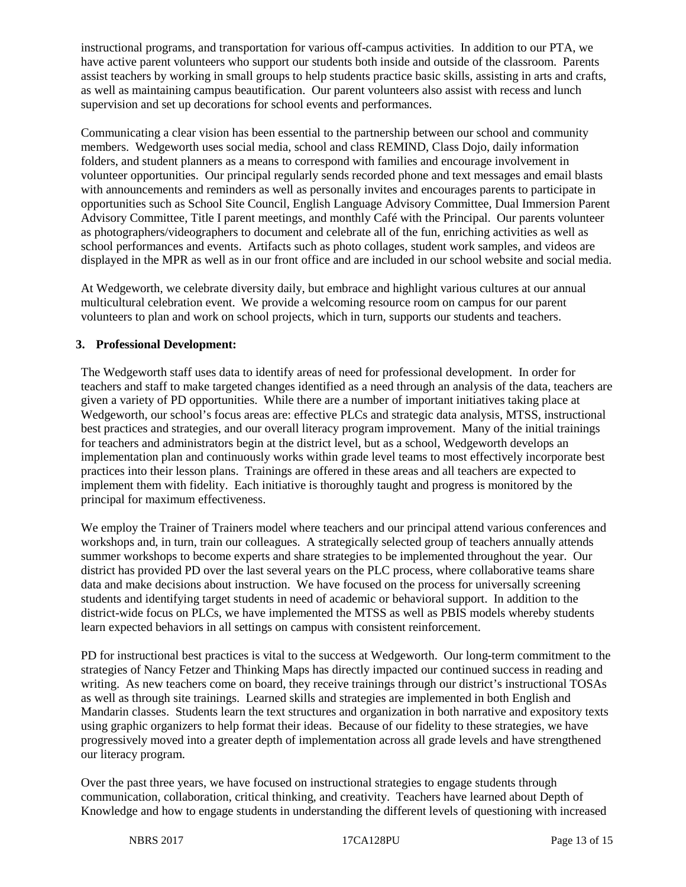instructional programs, and transportation for various off-campus activities. In addition to our PTA, we have active parent volunteers who support our students both inside and outside of the classroom. Parents assist teachers by working in small groups to help students practice basic skills, assisting in arts and crafts, as well as maintaining campus beautification. Our parent volunteers also assist with recess and lunch supervision and set up decorations for school events and performances.

Communicating a clear vision has been essential to the partnership between our school and community members. Wedgeworth uses social media, school and class REMIND, Class Dojo, daily information folders, and student planners as a means to correspond with families and encourage involvement in volunteer opportunities. Our principal regularly sends recorded phone and text messages and email blasts with announcements and reminders as well as personally invites and encourages parents to participate in opportunities such as School Site Council, English Language Advisory Committee, Dual Immersion Parent Advisory Committee, Title I parent meetings, and monthly Café with the Principal. Our parents volunteer as photographers/videographers to document and celebrate all of the fun, enriching activities as well as school performances and events. Artifacts such as photo collages, student work samples, and videos are displayed in the MPR as well as in our front office and are included in our school website and social media.

At Wedgeworth, we celebrate diversity daily, but embrace and highlight various cultures at our annual multicultural celebration event. We provide a welcoming resource room on campus for our parent volunteers to plan and work on school projects, which in turn, supports our students and teachers.

# **3. Professional Development:**

The Wedgeworth staff uses data to identify areas of need for professional development. In order for teachers and staff to make targeted changes identified as a need through an analysis of the data, teachers are given a variety of PD opportunities. While there are a number of important initiatives taking place at Wedgeworth, our school's focus areas are: effective PLCs and strategic data analysis, MTSS, instructional best practices and strategies, and our overall literacy program improvement. Many of the initial trainings for teachers and administrators begin at the district level, but as a school, Wedgeworth develops an implementation plan and continuously works within grade level teams to most effectively incorporate best practices into their lesson plans. Trainings are offered in these areas and all teachers are expected to implement them with fidelity. Each initiative is thoroughly taught and progress is monitored by the principal for maximum effectiveness.

We employ the Trainer of Trainers model where teachers and our principal attend various conferences and workshops and, in turn, train our colleagues. A strategically selected group of teachers annually attends summer workshops to become experts and share strategies to be implemented throughout the year. Our district has provided PD over the last several years on the PLC process, where collaborative teams share data and make decisions about instruction. We have focused on the process for universally screening students and identifying target students in need of academic or behavioral support. In addition to the district-wide focus on PLCs, we have implemented the MTSS as well as PBIS models whereby students learn expected behaviors in all settings on campus with consistent reinforcement.

PD for instructional best practices is vital to the success at Wedgeworth. Our long-term commitment to the strategies of Nancy Fetzer and Thinking Maps has directly impacted our continued success in reading and writing. As new teachers come on board, they receive trainings through our district's instructional TOSAs as well as through site trainings. Learned skills and strategies are implemented in both English and Mandarin classes. Students learn the text structures and organization in both narrative and expository texts using graphic organizers to help format their ideas. Because of our fidelity to these strategies, we have progressively moved into a greater depth of implementation across all grade levels and have strengthened our literacy program.

Over the past three years, we have focused on instructional strategies to engage students through communication, collaboration, critical thinking, and creativity. Teachers have learned about Depth of Knowledge and how to engage students in understanding the different levels of questioning with increased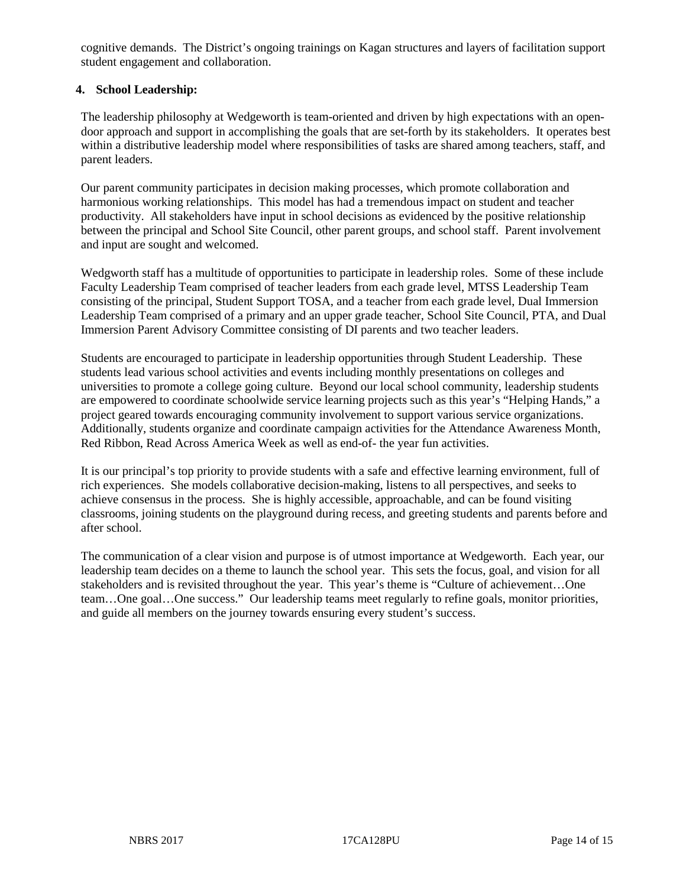cognitive demands. The District's ongoing trainings on Kagan structures and layers of facilitation support student engagement and collaboration.

# **4. School Leadership:**

The leadership philosophy at Wedgeworth is team-oriented and driven by high expectations with an opendoor approach and support in accomplishing the goals that are set-forth by its stakeholders. It operates best within a distributive leadership model where responsibilities of tasks are shared among teachers, staff, and parent leaders.

Our parent community participates in decision making processes, which promote collaboration and harmonious working relationships. This model has had a tremendous impact on student and teacher productivity. All stakeholders have input in school decisions as evidenced by the positive relationship between the principal and School Site Council, other parent groups, and school staff. Parent involvement and input are sought and welcomed.

Wedgworth staff has a multitude of opportunities to participate in leadership roles. Some of these include Faculty Leadership Team comprised of teacher leaders from each grade level, MTSS Leadership Team consisting of the principal, Student Support TOSA, and a teacher from each grade level, Dual Immersion Leadership Team comprised of a primary and an upper grade teacher, School Site Council, PTA, and Dual Immersion Parent Advisory Committee consisting of DI parents and two teacher leaders.

Students are encouraged to participate in leadership opportunities through Student Leadership. These students lead various school activities and events including monthly presentations on colleges and universities to promote a college going culture. Beyond our local school community, leadership students are empowered to coordinate schoolwide service learning projects such as this year's "Helping Hands," a project geared towards encouraging community involvement to support various service organizations. Additionally, students organize and coordinate campaign activities for the Attendance Awareness Month, Red Ribbon, Read Across America Week as well as end-of- the year fun activities.

It is our principal's top priority to provide students with a safe and effective learning environment, full of rich experiences. She models collaborative decision-making, listens to all perspectives, and seeks to achieve consensus in the process. She is highly accessible, approachable, and can be found visiting classrooms, joining students on the playground during recess, and greeting students and parents before and after school.

The communication of a clear vision and purpose is of utmost importance at Wedgeworth. Each year, our leadership team decides on a theme to launch the school year. This sets the focus, goal, and vision for all stakeholders and is revisited throughout the year. This year's theme is "Culture of achievement…One team…One goal…One success." Our leadership teams meet regularly to refine goals, monitor priorities, and guide all members on the journey towards ensuring every student's success.